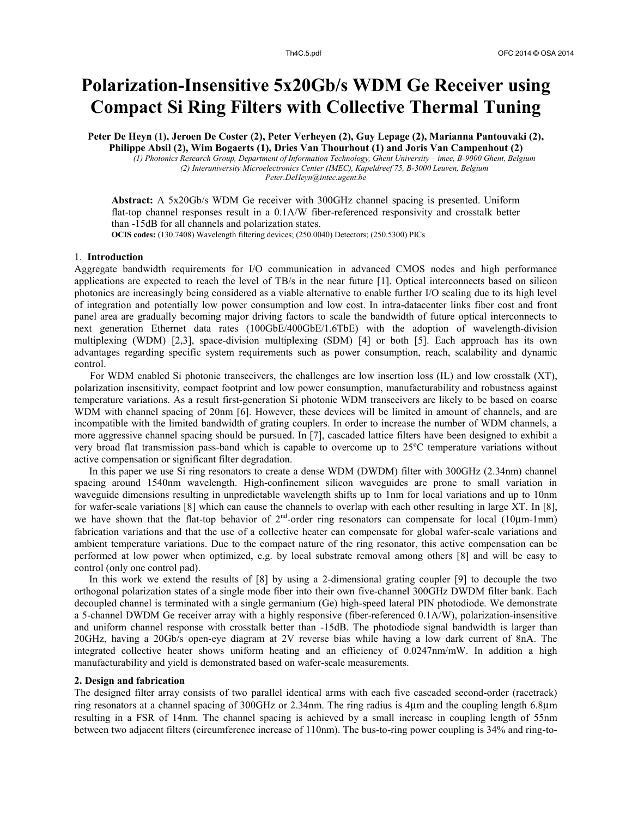# **Polarization-Insensitive 5x20Gb/s WDM Ge Receiver using Compact Si Ring Filters with Collective Thermal Tuning**

**Peter De Heyn (1), Jeroen De Coster (2), Peter Verheyen (2), Guy Lepage (2), Marianna Pantouvaki (2),** 

**Philippe Absil (2), Wim Bogaerts (1), Dries Van Thourhout (1) and Joris Van Campenhout (2)** *(1) Photonics Research Group, Department of Information Technology, Ghent University – imec, B-9000 Ghent, Belgium (2) Interuniversity Microelectronics Center (IMEC), Kapeldreef 75, B-3000 Leuven, Belgium Peter.DeHeyn@intec.ugent.be*

**Abstract:** A 5x20Gb/s WDM Ge receiver with 300GHz channel spacing is presented. Uniform flat-top channel responses result in a 0.1A/W fiber-referenced responsivity and crosstalk better than -15dB for all channels and polarization states.

**OCIS codes:** (130.7408) Wavelength filtering devices; (250.0040) Detectors; (250.5300) PICs

# 1. **Introduction**

Aggregate bandwidth requirements for I/O communication in advanced CMOS nodes and high performance applications are expected to reach the level of TB/s in the near future [1]. Optical interconnects based on silicon photonics are increasingly being considered as a viable alternative to enable further I/O scaling due to its high level of integration and potentially low power consumption and low cost. In intra-datacenter links fiber cost and front panel area are gradually becoming major driving factors to scale the bandwidth of future optical interconnects to next generation Ethernet data rates (100GbE/400GbE/1.6TbE) with the adoption of wavelength-division multiplexing (WDM) [2,3], space-division multiplexing (SDM) [4] or both [5]. Each approach has its own advantages regarding specific system requirements such as power consumption, reach, scalability and dynamic control.

 For WDM enabled Si photonic transceivers, the challenges are low insertion loss (IL) and low crosstalk (XT), polarization insensitivity, compact footprint and low power consumption, manufacturability and robustness against temperature variations. As a result first-generation Si photonic WDM transceivers are likely to be based on coarse WDM with channel spacing of 20nm [6]. However, these devices will be limited in amount of channels, and are incompatible with the limited bandwidth of grating couplers. In order to increase the number of WDM channels, a more aggressive channel spacing should be pursued. In [7], cascaded lattice filters have been designed to exhibit a very broad flat transmission pass-band which is capable to overcome up to 25ºC temperature variations without active compensation or significant filter degradation.

In this paper we use Si ring resonators to create a dense WDM (DWDM) filter with 300GHz (2.34nm) channel spacing around 1540nm wavelength. High-confinement silicon waveguides are prone to small variation in waveguide dimensions resulting in unpredictable wavelength shifts up to 1nm for local variations and up to 10nm for wafer-scale variations [8] which can cause the channels to overlap with each other resulting in large XT. In [8], we have shown that the flat-top behavior of  $2<sup>nd</sup>$ -order ring resonators can compensate for local (10 $\mu$ m-1mm) fabrication variations and that the use of a collective heater can compensate for global wafer-scale variations and ambient temperature variations. Due to the compact nature of the ring resonator, this active compensation can be performed at low power when optimized, e.g. by local substrate removal among others [8] and will be easy to control (only one control pad).

In this work we extend the results of [8] by using a 2-dimensional grating coupler [9] to decouple the two orthogonal polarization states of a single mode fiber into their own five-channel 300GHz DWDM filter bank. Each decoupled channel is terminated with a single germanium (Ge) high-speed lateral PIN photodiode. We demonstrate a 5-channel DWDM Ge receiver array with a highly responsive (fiber-referenced 0.1A/W), polarization-insensitive and uniform channel response with crosstalk better than -15dB. The photodiode signal bandwidth is larger than 20GHz, having a 20Gb/s open-eye diagram at 2V reverse bias while having a low dark current of 8nA. The integrated collective heater shows uniform heating and an efficiency of 0.0247nm/mW. In addition a high manufacturability and yield is demonstrated based on wafer-scale measurements.

# **2. Design and fabrication**

The designed filter array consists of two parallel identical arms with each five cascaded second-order (racetrack) ring resonators at a channel spacing of 300GHz or 2.34nm. The ring radius is  $4\mu$ m and the coupling length 6.8 $\mu$ m resulting in a FSR of 14nm. The channel spacing is achieved by a small increase in coupling length of 55nm between two adjacent filters (circumference increase of 110nm). The bus-to-ring power coupling is 34% and ring-to-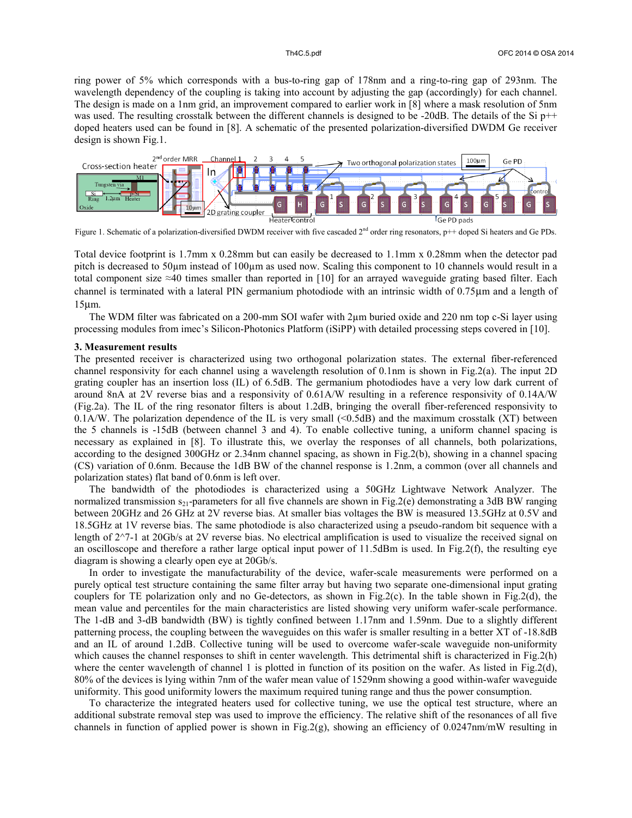ring power of 5% which corresponds with a bus-to-ring gap of 178nm and a ring-to-ring gap of 293nm. The wavelength dependency of the coupling is taking into account by adjusting the gap (accordingly) for each channel. The design is made on a 1nm grid, an improvement compared to earlier work in [8] where a mask resolution of 5nm was used. The resulting crosstalk between the different channels is designed to be -20dB. The details of the Si p++ doped heaters used can be found in [8]. A schematic of the presented polarization-diversified DWDM Ge receiver design is shown Fig.1.



Figure 1. Schematic of a polarization-diversified DWDM receiver with five cascaded 2<sup>nd</sup> order ring resonators, p++ doped Si heaters and Ge PDs.

Total device footprint is 1.7mm x 0.28mm but can easily be decreased to 1.1mm x 0.28mm when the detector pad pitch is decreased to 50µm instead of 100µm as used now. Scaling this component to 10 channels would result in a total component size  $\approx$ 40 times smaller than reported in [10] for an arrayed waveguide grating based filter. Each channel is terminated with a lateral PIN germanium photodiode with an intrinsic width of 0.75mm and a length of  $15 \mu m$ .

The WDM filter was fabricated on a 200-mm SOI wafer with 2µm buried oxide and 220 nm top c-Si layer using processing modules from imec's Silicon-Photonics Platform (iSiPP) with detailed processing steps covered in [10].

### **3. Measurement results**

The presented receiver is characterized using two orthogonal polarization states. The external fiber-referenced channel responsivity for each channel using a wavelength resolution of 0.1nm is shown in Fig.2(a). The input 2D grating coupler has an insertion loss (IL) of 6.5dB. The germanium photodiodes have a very low dark current of around 8nA at 2V reverse bias and a responsivity of 0.61A/W resulting in a reference responsivity of 0.14A/W (Fig.2a). The IL of the ring resonator filters is about 1.2dB, bringing the overall fiber-referenced responsivity to 0.1A/W. The polarization dependence of the IL is very small (<0.5dB) and the maximum crosstalk (XT) between the 5 channels is -15dB (between channel 3 and 4). To enable collective tuning, a uniform channel spacing is necessary as explained in [8]. To illustrate this, we overlay the responses of all channels, both polarizations, according to the designed 300GHz or 2.34nm channel spacing, as shown in Fig.2(b), showing in a channel spacing (CS) variation of 0.6nm. Because the 1dB BW of the channel response is 1.2nm, a common (over all channels and polarization states) flat band of 0.6nm is left over.

The bandwidth of the photodiodes is characterized using a 50GHz Lightwave Network Analyzer. The normalized transmission  $s_{21}$ -parameters for all five channels are shown in Fig.2(e) demonstrating a 3dB BW ranging between 20GHz and 26 GHz at 2V reverse bias. At smaller bias voltages the BW is measured 13.5GHz at 0.5V and 18.5GHz at 1V reverse bias. The same photodiode is also characterized using a pseudo-random bit sequence with a length of  $2^{\gamma}$ -1 at 20Gb/s at 2V reverse bias. No electrical amplification is used to visualize the received signal on an oscilloscope and therefore a rather large optical input power of 11.5dBm is used. In Fig.2(f), the resulting eye diagram is showing a clearly open eye at 20Gb/s.

In order to investigate the manufacturability of the device, wafer-scale measurements were performed on a purely optical test structure containing the same filter array but having two separate one-dimensional input grating couplers for TE polarization only and no Ge-detectors, as shown in Fig.2(c). In the table shown in Fig.2(d), the mean value and percentiles for the main characteristics are listed showing very uniform wafer-scale performance. The 1-dB and 3-dB bandwidth (BW) is tightly confined between 1.17nm and 1.59nm. Due to a slightly different patterning process, the coupling between the waveguides on this wafer is smaller resulting in a better XT of -18.8dB and an IL of around 1.2dB. Collective tuning will be used to overcome wafer-scale waveguide non-uniformity which causes the channel responses to shift in center wavelength. This detrimental shift is characterized in Fig.2(h) where the center wavelength of channel 1 is plotted in function of its position on the wafer. As listed in Fig.2(d), 80% of the devices is lying within 7nm of the wafer mean value of 1529nm showing a good within-wafer waveguide uniformity. This good uniformity lowers the maximum required tuning range and thus the power consumption.

To characterize the integrated heaters used for collective tuning, we use the optical test structure, where an additional substrate removal step was used to improve the efficiency. The relative shift of the resonances of all five channels in function of applied power is shown in Fig.2(g), showing an efficiency of 0.0247nm/mW resulting in